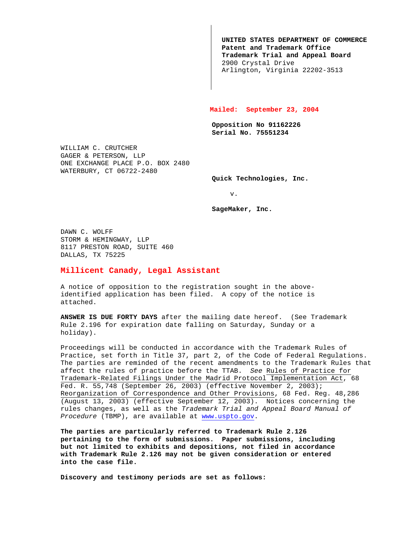**UNITED STATES DEPARTMENT OF COMMERCE Patent and Trademark Office Trademark Trial and Appeal Board** 2900 Crystal Drive Arlington, Virginia 22202-3513

## **Mailed: September 23, 2004**

**Opposition No 91162226 Serial No. 75551234**

WILLIAM C. CRUTCHER GAGER & PETERSON, LLP ONE EXCHANGE PLACE P.O. BOX 2480 WATERBURY, CT 06722-2480

**Quick Technologies, Inc.**

v.

**SageMaker, Inc.**

DAWN C. WOLFF STORM & HEMINGWAY, LLP 8117 PRESTON ROAD, SUITE 460 DALLAS, TX 75225

## **Millicent Canady, Legal Assistant**

A notice of opposition to the registration sought in the aboveidentified application has been filed. A copy of the notice is attached.

**ANSWER IS DUE FORTY DAYS** after the mailing date hereof. (See Trademark Rule 2.196 for expiration date falling on Saturday, Sunday or a holiday).

Proceedings will be conducted in accordance with the Trademark Rules of Practice, set forth in Title 37, part 2, of the Code of Federal Regulations. The parties are reminded of the recent amendments to the Trademark Rules that affect the rules of practice before the TTAB. See Rules of Practice for Trademark-Related Filings Under the Madrid Protocol Implementation Act, 68 Fed. R. 55,748 (September 26, 2003) (effective November 2, 2003); Reorganization of Correspondence and Other Provisions, 68 Fed. Reg. 48,286 (August 13, 2003) (effective September 12, 2003). Notices concerning the rules changes, as well as the Trademark Trial and Appeal Board Manual of Procedure (TBMP), are available at www.uspto.gov.

**The parties are particularly referred to Trademark Rule 2.126 pertaining to the form of submissions. Paper submissions, including but not limited to exhibits and depositions, not filed in accordance with Trademark Rule 2.126 may not be given consideration or entered into the case file.**

**Discovery and testimony periods are set as follows:**